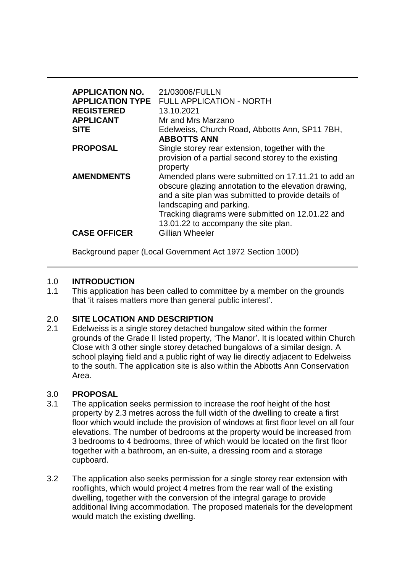| <b>APPLICATION NO.</b><br><b>APPLICATION TYPE</b><br><b>REGISTERED</b><br><b>APPLICANT</b><br><b>SITE</b> | 21/03006/FULLN<br><b>FULL APPLICATION - NORTH</b><br>13.10.2021<br>Mr and Mrs Marzano<br>Edelweiss, Church Road, Abbotts Ann, SP11 7BH,<br><b>ABBOTTS ANN</b>                                                                                                                                                |
|-----------------------------------------------------------------------------------------------------------|--------------------------------------------------------------------------------------------------------------------------------------------------------------------------------------------------------------------------------------------------------------------------------------------------------------|
| <b>PROPOSAL</b>                                                                                           | Single storey rear extension, together with the<br>provision of a partial second storey to the existing<br>property                                                                                                                                                                                          |
| <b>AMENDMENTS</b><br><b>CASE OFFICER</b>                                                                  | Amended plans were submitted on 17.11.21 to add an<br>obscure glazing annotation to the elevation drawing,<br>and a site plan was submitted to provide details of<br>landscaping and parking.<br>Tracking diagrams were submitted on 12.01.22 and<br>13.01.22 to accompany the site plan.<br>Gillian Wheeler |
|                                                                                                           |                                                                                                                                                                                                                                                                                                              |

Background paper (Local Government Act 1972 Section 100D)

# 1.0 **INTRODUCTION**

1.1 This application has been called to committee by a member on the grounds that 'it raises matters more than general public interest'.

# 2.0 **SITE LOCATION AND DESCRIPTION**<br>2.1 Edelweiss is a single storey detached b

Edelweiss is a single storey detached bungalow sited within the former grounds of the Grade II listed property, 'The Manor'. It is located within Church Close with 3 other single storey detached bungalows of a similar design. A school playing field and a public right of way lie directly adjacent to Edelweiss to the south. The application site is also within the Abbotts Ann Conservation Area.

## 3.0 **PROPOSAL**

- 3.1 The application seeks permission to increase the roof height of the host property by 2.3 metres across the full width of the dwelling to create a first floor which would include the provision of windows at first floor level on all four elevations. The number of bedrooms at the property would be increased from 3 bedrooms to 4 bedrooms, three of which would be located on the first floor together with a bathroom, an en-suite, a dressing room and a storage cupboard.
- 3.2 The application also seeks permission for a single storey rear extension with rooflights, which would project 4 metres from the rear wall of the existing dwelling, together with the conversion of the integral garage to provide additional living accommodation. The proposed materials for the development would match the existing dwelling.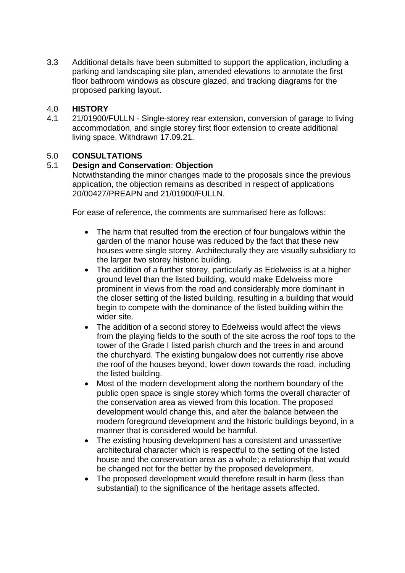3.3 Additional details have been submitted to support the application, including a parking and landscaping site plan, amended elevations to annotate the first floor bathroom windows as obscure glazed, and tracking diagrams for the proposed parking layout.

# 4.0 **HISTORY**

4.1 21/01900/FULLN - Single-storey rear extension, conversion of garage to living accommodation, and single storey first floor extension to create additional living space. Withdrawn 17.09.21.

# 5.0 **CONSULTATIONS**

# 5.1 **Design and Conservation**: **Objection**

Notwithstanding the minor changes made to the proposals since the previous application, the objection remains as described in respect of applications 20/00427/PREAPN and 21/01900/FULLN.

For ease of reference, the comments are summarised here as follows:

- The harm that resulted from the erection of four bungalows within the garden of the manor house was reduced by the fact that these new houses were single storey. Architecturally they are visually subsidiary to the larger two storey historic building.
- The addition of a further storey, particularly as Edelweiss is at a higher ground level than the listed building, would make Edelweiss more prominent in views from the road and considerably more dominant in the closer setting of the listed building, resulting in a building that would begin to compete with the dominance of the listed building within the wider site.
- The addition of a second storey to Edelweiss would affect the views from the playing fields to the south of the site across the roof tops to the tower of the Grade I listed parish church and the trees in and around the churchyard. The existing bungalow does not currently rise above the roof of the houses beyond, lower down towards the road, including the listed building.
- Most of the modern development along the northern boundary of the public open space is single storey which forms the overall character of the conservation area as viewed from this location. The proposed development would change this, and alter the balance between the modern foreground development and the historic buildings beyond, in a manner that is considered would be harmful.
- The existing housing development has a consistent and unassertive architectural character which is respectful to the setting of the listed house and the conservation area as a whole; a relationship that would be changed not for the better by the proposed development.
- The proposed development would therefore result in harm (less than substantial) to the significance of the heritage assets affected.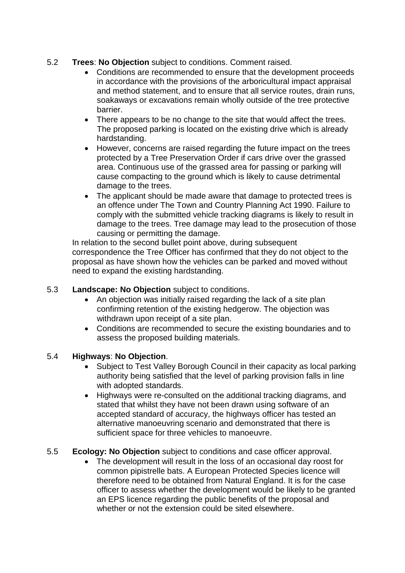- 5.2 **Trees**: **No Objection** subject to conditions. Comment raised.
	- Conditions are recommended to ensure that the development proceeds in accordance with the provisions of the arboricultural impact appraisal and method statement, and to ensure that all service routes, drain runs, soakaways or excavations remain wholly outside of the tree protective barrier.
	- There appears to be no change to the site that would affect the trees. The proposed parking is located on the existing drive which is already hardstanding.
	- However, concerns are raised regarding the future impact on the trees protected by a Tree Preservation Order if cars drive over the grassed area. Continuous use of the grassed area for passing or parking will cause compacting to the ground which is likely to cause detrimental damage to the trees.
	- The applicant should be made aware that damage to protected trees is an offence under The Town and Country Planning Act 1990. Failure to comply with the submitted vehicle tracking diagrams is likely to result in damage to the trees. Tree damage may lead to the prosecution of those causing or permitting the damage.

In relation to the second bullet point above, during subsequent correspondence the Tree Officer has confirmed that they do not object to the proposal as have shown how the vehicles can be parked and moved without need to expand the existing hardstanding.

# 5.3 **Landscape: No Objection** subject to conditions.

- An objection was initially raised regarding the lack of a site plan confirming retention of the existing hedgerow. The objection was withdrawn upon receipt of a site plan.
- Conditions are recommended to secure the existing boundaries and to assess the proposed building materials.

# 5.4 **Highways**: **No Objection**.

- Subject to Test Valley Borough Council in their capacity as local parking authority being satisfied that the level of parking provision falls in line with adopted standards.
- Highways were re-consulted on the additional tracking diagrams, and stated that whilst they have not been drawn using software of an accepted standard of accuracy, the highways officer has tested an alternative manoeuvring scenario and demonstrated that there is sufficient space for three vehicles to manoeuvre.

# 5.5 **Ecology: No Objection** subject to conditions and case officer approval.

 The development will result in the loss of an occasional day roost for common pipistrelle bats. A European Protected Species licence will therefore need to be obtained from Natural England. It is for the case officer to assess whether the development would be likely to be granted an EPS licence regarding the public benefits of the proposal and whether or not the extension could be sited elsewhere.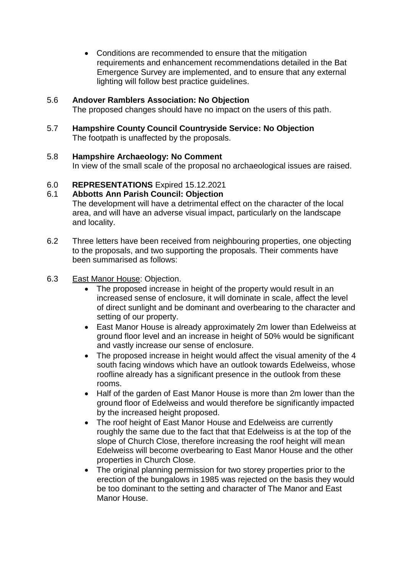Conditions are recommended to ensure that the mitigation requirements and enhancement recommendations detailed in the Bat Emergence Survey are implemented, and to ensure that any external lighting will follow best practice guidelines.

# 5.6 **Andover Ramblers Association: No Objection**

The proposed changes should have no impact on the users of this path.

5.7 **Hampshire County Council Countryside Service: No Objection** The footpath is unaffected by the proposals.

#### 5.8 **Hampshire Archaeology: No Comment**

In view of the small scale of the proposal no archaeological issues are raised.

## 6.0 **REPRESENTATIONS** Expired 15.12.2021

## 6.1 **Abbotts Ann Parish Council: Objection**

The development will have a detrimental effect on the character of the local area, and will have an adverse visual impact, particularly on the landscape and locality.

- 6.2 Three letters have been received from neighbouring properties, one objecting to the proposals, and two supporting the proposals. Their comments have been summarised as follows:
- 6.3 East Manor House: Objection.
	- The proposed increase in height of the property would result in an increased sense of enclosure, it will dominate in scale, affect the level of direct sunlight and be dominant and overbearing to the character and setting of our property.
	- East Manor House is already approximately 2m lower than Edelweiss at ground floor level and an increase in height of 50% would be significant and vastly increase our sense of enclosure.
	- The proposed increase in height would affect the visual amenity of the 4 south facing windows which have an outlook towards Edelweiss, whose roofline already has a significant presence in the outlook from these rooms.
	- Half of the garden of East Manor House is more than 2m lower than the ground floor of Edelweiss and would therefore be significantly impacted by the increased height proposed.
	- The roof height of East Manor House and Edelweiss are currently roughly the same due to the fact that that Edelweiss is at the top of the slope of Church Close, therefore increasing the roof height will mean Edelweiss will become overbearing to East Manor House and the other properties in Church Close.
	- The original planning permission for two storey properties prior to the erection of the bungalows in 1985 was rejected on the basis they would be too dominant to the setting and character of The Manor and East Manor House.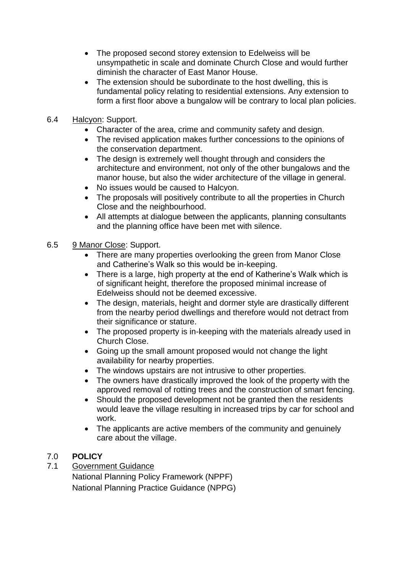- The proposed second storey extension to Edelweiss will be unsympathetic in scale and dominate Church Close and would further diminish the character of East Manor House.
- The extension should be subordinate to the host dwelling, this is fundamental policy relating to residential extensions. Any extension to form a first floor above a bungalow will be contrary to local plan policies.
- 6.4 Halcyon: Support.
	- Character of the area, crime and community safety and design.
	- The revised application makes further concessions to the opinions of the conservation department.
	- The design is extremely well thought through and considers the architecture and environment, not only of the other bungalows and the manor house, but also the wider architecture of the village in general.
	- No issues would be caused to Halcyon.
	- The proposals will positively contribute to all the properties in Church Close and the neighbourhood.
	- All attempts at dialogue between the applicants, planning consultants and the planning office have been met with silence.
- 6.5 9 Manor Close: Support.
	- There are many properties overlooking the green from Manor Close and Catherine's Walk so this would be in-keeping.
	- There is a large, high property at the end of Katherine's Walk which is of significant height, therefore the proposed minimal increase of Edelweiss should not be deemed excessive.
	- The design, materials, height and dormer style are drastically different from the nearby period dwellings and therefore would not detract from their significance or stature.
	- The proposed property is in-keeping with the materials already used in Church Close.
	- Going up the small amount proposed would not change the light availability for nearby properties.
	- The windows upstairs are not intrusive to other properties.
	- The owners have drastically improved the look of the property with the approved removal of rotting trees and the construction of smart fencing.
	- Should the proposed development not be granted then the residents would leave the village resulting in increased trips by car for school and work.
	- The applicants are active members of the community and genuinely care about the village.

# 7.0 **POLICY**

- 7.1 Government Guidance
	- National Planning Policy Framework (NPPF) National Planning Practice Guidance (NPPG)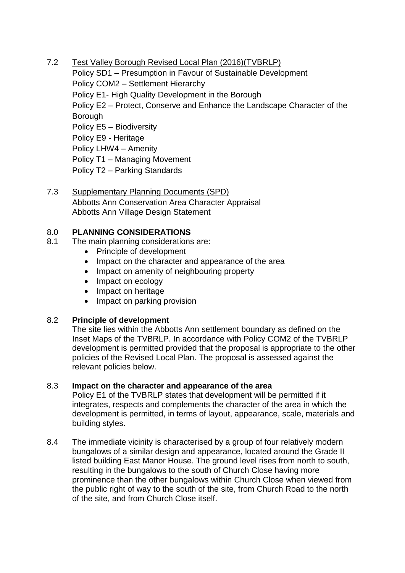7.2 Test Valley Borough Revised Local Plan (2016)(TVBRLP)

Policy SD1 – Presumption in Favour of Sustainable Development Policy COM2 – Settlement Hierarchy Policy E1- High Quality Development in the Borough Policy E2 – Protect, Conserve and Enhance the Landscape Character of the **Borough** Policy E5 – Biodiversity Policy E9 - Heritage Policy LHW4 – Amenity Policy T1 – Managing Movement Policy T2 – Parking Standards

7.3 Supplementary Planning Documents (SPD) Abbotts Ann Conservation Area Character Appraisal Abbotts Ann Village Design Statement

# 8.0 **PLANNING CONSIDERATIONS**

- 8.1 The main planning considerations are:
	- Principle of development
	- Impact on the character and appearance of the area
	- Impact on amenity of neighbouring property
	- Impact on ecology
	- Impact on heritage
	- Impact on parking provision

# 8.2 **Principle of development**

The site lies within the Abbotts Ann settlement boundary as defined on the Inset Maps of the TVBRLP. In accordance with Policy COM2 of the TVBRLP development is permitted provided that the proposal is appropriate to the other policies of the Revised Local Plan. The proposal is assessed against the relevant policies below.

# 8.3 **Impact on the character and appearance of the area**

Policy E1 of the TVBRLP states that development will be permitted if it integrates, respects and complements the character of the area in which the development is permitted, in terms of layout, appearance, scale, materials and building styles.

8.4 The immediate vicinity is characterised by a group of four relatively modern bungalows of a similar design and appearance, located around the Grade II listed building East Manor House. The ground level rises from north to south, resulting in the bungalows to the south of Church Close having more prominence than the other bungalows within Church Close when viewed from the public right of way to the south of the site, from Church Road to the north of the site, and from Church Close itself.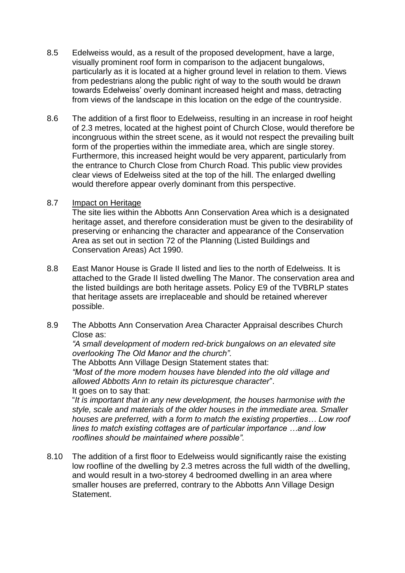- 8.5 Edelweiss would, as a result of the proposed development, have a large, visually prominent roof form in comparison to the adjacent bungalows, particularly as it is located at a higher ground level in relation to them. Views from pedestrians along the public right of way to the south would be drawn towards Edelweiss' overly dominant increased height and mass, detracting from views of the landscape in this location on the edge of the countryside.
- 8.6 The addition of a first floor to Edelweiss, resulting in an increase in roof height of 2.3 metres, located at the highest point of Church Close, would therefore be incongruous within the street scene, as it would not respect the prevailing built form of the properties within the immediate area, which are single storey. Furthermore, this increased height would be very apparent, particularly from the entrance to Church Close from Church Road. This public view provides clear views of Edelweiss sited at the top of the hill. The enlarged dwelling would therefore appear overly dominant from this perspective.
- 8.7 Impact on Heritage

The site lies within the Abbotts Ann Conservation Area which is a designated heritage asset, and therefore consideration must be given to the desirability of preserving or enhancing the character and appearance of the Conservation Area as set out in section 72 of the Planning (Listed Buildings and Conservation Areas) Act 1990.

- 8.8 East Manor House is Grade II listed and lies to the north of Edelweiss. It is attached to the Grade II listed dwelling The Manor. The conservation area and the listed buildings are both heritage assets. Policy E9 of the TVBRLP states that heritage assets are irreplaceable and should be retained wherever possible.
- 8.9 The Abbotts Ann Conservation Area Character Appraisal describes Church Close as:

*"A small development of modern red-brick bungalows on an elevated site overlooking The Old Manor and the church".* 

The Abbotts Ann Village Design Statement states that:

*"Most of the more modern houses have blended into the old village and allowed Abbotts Ann to retain its picturesque character*". It goes on to say that:

"*It is important that in any new development, the houses harmonise with the style, scale and materials of the older houses in the immediate area. Smaller houses are preferred, with a form to match the existing properties… Low roof lines to match existing cottages are of particular importance …and low rooflines should be maintained where possible".*

8.10 The addition of a first floor to Edelweiss would significantly raise the existing low roofline of the dwelling by 2.3 metres across the full width of the dwelling, and would result in a two-storey 4 bedroomed dwelling in an area where smaller houses are preferred, contrary to the Abbotts Ann Village Design Statement.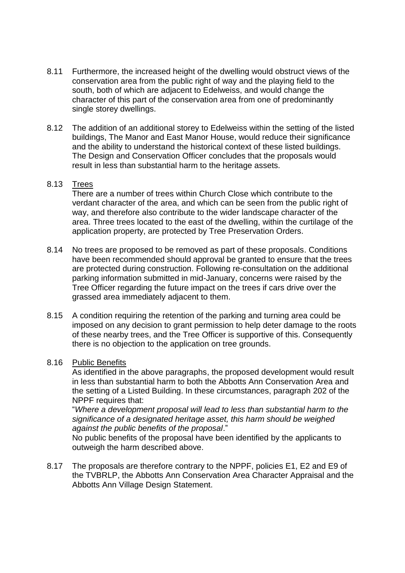- 8.11 Furthermore, the increased height of the dwelling would obstruct views of the conservation area from the public right of way and the playing field to the south, both of which are adjacent to Edelweiss, and would change the character of this part of the conservation area from one of predominantly single storey dwellings.
- 8.12 The addition of an additional storey to Edelweiss within the setting of the listed buildings, The Manor and East Manor House, would reduce their significance and the ability to understand the historical context of these listed buildings. The Design and Conservation Officer concludes that the proposals would result in less than substantial harm to the heritage assets.

## 8.13 Trees

There are a number of trees within Church Close which contribute to the verdant character of the area, and which can be seen from the public right of way, and therefore also contribute to the wider landscape character of the area. Three trees located to the east of the dwelling, within the curtilage of the application property, are protected by Tree Preservation Orders.

- 8.14 No trees are proposed to be removed as part of these proposals. Conditions have been recommended should approval be granted to ensure that the trees are protected during construction. Following re-consultation on the additional parking information submitted in mid-January, concerns were raised by the Tree Officer regarding the future impact on the trees if cars drive over the grassed area immediately adjacent to them.
- 8.15 A condition requiring the retention of the parking and turning area could be imposed on any decision to grant permission to help deter damage to the roots of these nearby trees, and the Tree Officer is supportive of this. Consequently there is no objection to the application on tree grounds.

#### 8.16 Public Benefits

As identified in the above paragraphs, the proposed development would result in less than substantial harm to both the Abbotts Ann Conservation Area and the setting of a Listed Building. In these circumstances, paragraph 202 of the NPPF requires that:

"*Where a development proposal will lead to less than substantial harm to the significance of a designated heritage asset, this harm should be weighed against the public benefits of the proposal*."

No public benefits of the proposal have been identified by the applicants to outweigh the harm described above.

8.17 The proposals are therefore contrary to the NPPF, policies E1, E2 and E9 of the TVBRLP, the Abbotts Ann Conservation Area Character Appraisal and the Abbotts Ann Village Design Statement.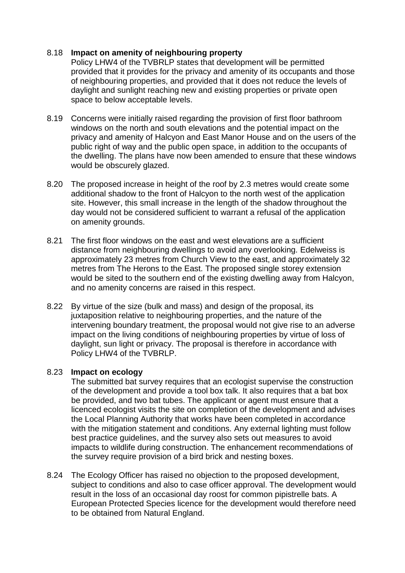# 8.18 **Impact on amenity of neighbouring property**

Policy LHW4 of the TVBRLP states that development will be permitted provided that it provides for the privacy and amenity of its occupants and those of neighbouring properties, and provided that it does not reduce the levels of daylight and sunlight reaching new and existing properties or private open space to below acceptable levels.

- 8.19 Concerns were initially raised regarding the provision of first floor bathroom windows on the north and south elevations and the potential impact on the privacy and amenity of Halcyon and East Manor House and on the users of the public right of way and the public open space, in addition to the occupants of the dwelling. The plans have now been amended to ensure that these windows would be obscurely glazed.
- 8.20 The proposed increase in height of the roof by 2.3 metres would create some additional shadow to the front of Halcyon to the north west of the application site. However, this small increase in the length of the shadow throughout the day would not be considered sufficient to warrant a refusal of the application on amenity grounds.
- 8.21 The first floor windows on the east and west elevations are a sufficient distance from neighbouring dwellings to avoid any overlooking. Edelweiss is approximately 23 metres from Church View to the east, and approximately 32 metres from The Herons to the East. The proposed single storey extension would be sited to the southern end of the existing dwelling away from Halcyon, and no amenity concerns are raised in this respect.
- 8.22 By virtue of the size (bulk and mass) and design of the proposal, its juxtaposition relative to neighbouring properties, and the nature of the intervening boundary treatment, the proposal would not give rise to an adverse impact on the living conditions of neighbouring properties by virtue of loss of daylight, sun light or privacy. The proposal is therefore in accordance with Policy LHW4 of the TVBRLP.

## 8.23 **Impact on ecology**

The submitted bat survey requires that an ecologist supervise the construction of the development and provide a tool box talk. It also requires that a bat box be provided, and two bat tubes. The applicant or agent must ensure that a licenced ecologist visits the site on completion of the development and advises the Local Planning Authority that works have been completed in accordance with the mitigation statement and conditions. Any external lighting must follow best practice guidelines, and the survey also sets out measures to avoid impacts to wildlife during construction. The enhancement recommendations of the survey require provision of a bird brick and nesting boxes.

8.24 The Ecology Officer has raised no objection to the proposed development, subject to conditions and also to case officer approval. The development would result in the loss of an occasional day roost for common pipistrelle bats. A European Protected Species licence for the development would therefore need to be obtained from Natural England.